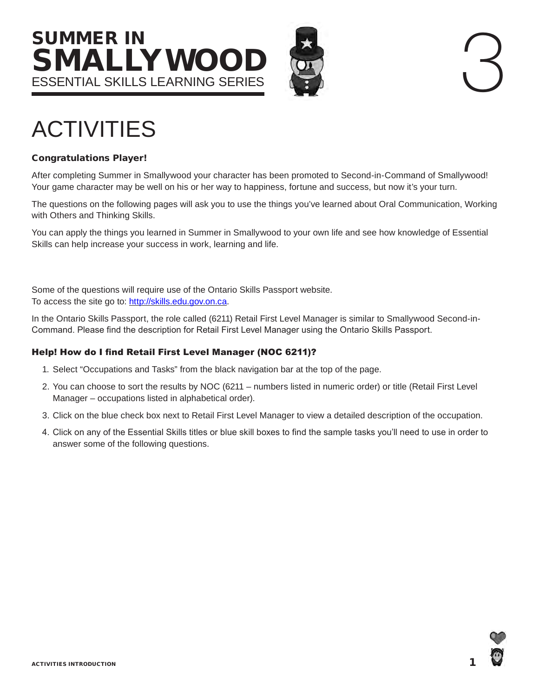# SUMMER IN SMALLYWOO ESSENTIAL SKILLS learning series



# ACTIVITIES

#### Congratulations Player!

After completing Summer in Smallywood your character has been promoted to Second-in-Command of Smallywood! Your game character may be well on his or her way to happiness, fortune and success, but now it's your turn.

The questions on the following pages will ask you to use the things you've learned about Oral Communication, Working with Others and Thinking Skills.

You can apply the things you learned in Summer in Smallywood to your own life and see how knowledge of Essential Skills can help increase your success in work, learning and life.

Some of the questions will require use of the Ontario Skills Passport website. To access the site go to: [http://skills.edu.gov.on.ca.](http://skills.edu.gov.on.ca)

In the Ontario Skills Passport, the role called (6211) Retail First Level Manager is similar to Smallywood Second-in-Command. Please find the description for Retail First Level Manager using the Ontario Skills Passport.

#### Help! How do I find Retail First Level Manager (NOC 6211)?

- 1. Select "Occupations and Tasks" from the black navigation bar at the top of the page.
- 2. You can choose to sort the results by NOC (6211 numbers listed in numeric order) or title (Retail First Level Manager – occupations listed in alphabetical order).
- 3. Click on the blue check box next to Retail First Level Manager to view a detailed description of the occupation.
- 4. Click on any of the Essential Skills titles or blue skill boxes to find the sample tasks you'll need to use in order to answer some of the following questions.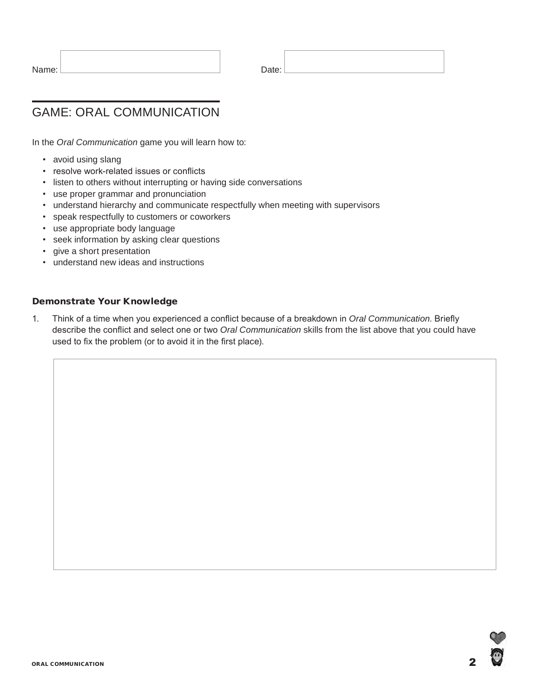| Name: | Date: |
|-------|-------|
|       |       |

# Game: Oral Communication

In the *Oral Communication* game you will learn how to:

- avoid using slang
- resolve work-related issues or conflicts
- listen to others without interrupting or having side conversations
- use proper grammar and pronunciation
- understand hierarchy and communicate respectfully when meeting with supervisors
- speak respectfully to customers or coworkers
- use appropriate body language
- seek information by asking clear questions
- give a short presentation
- understand new ideas and instructions

#### Demonstrate Your Knowledge

1. Think of a time when you experienced a conflict because of a breakdown in *Oral Communication*. Briefly describe the conflict and select one or two *Oral Communication* skills from the list above that you could have used to fix the problem (or to avoid it in the first place).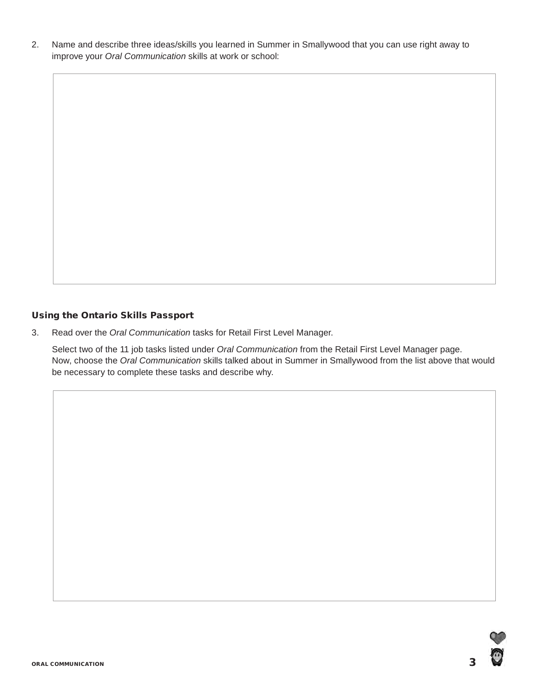2. Name and describe three ideas/skills you learned in Summer in Smallywood that you can use right away to improve your *Oral Communication* skills at work or school:

#### Using the Ontario Skills Passport

3. Read over the *Oral Communication* tasks for Retail First Level Manager.

Select two of the 11 job tasks listed under *Oral Communication* from the Retail First Level Manager page. Now, choose the *Oral Communication* skills talked about in Summer in Smallywood from the list above that would be necessary to complete these tasks and describe why.

٥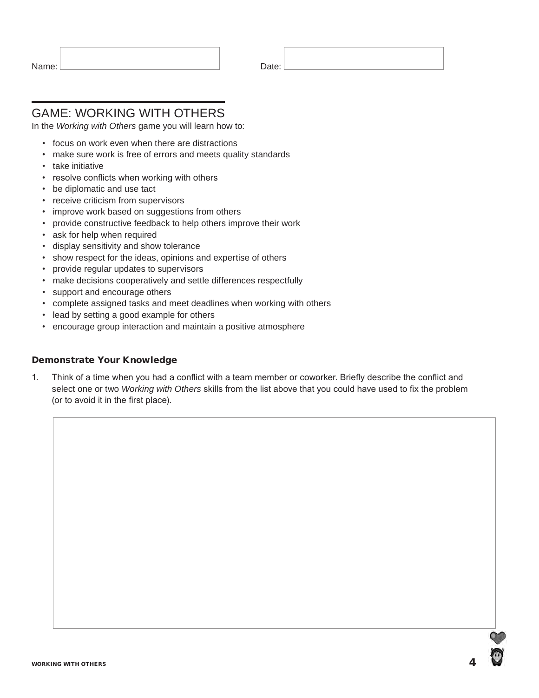| Name: | Date: |
|-------|-------|
|       |       |

## Game: Working with Others

In the *Working with Others* game you will learn how to:

- focus on work even when there are distractions
- make sure work is free of errors and meets quality standards
- take initiative
- resolve conflicts when working with others
- be diplomatic and use tact
- receive criticism from supervisors
- improve work based on suggestions from others
- provide constructive feedback to help others improve their work
- ask for help when required
- display sensitivity and show tolerance
- show respect for the ideas, opinions and expertise of others
- provide regular updates to supervisors
- make decisions cooperatively and settle differences respectfully
- support and encourage others
- complete assigned tasks and meet deadlines when working with others
- lead by setting a good example for others
- encourage group interaction and maintain a positive atmosphere

#### Demonstrate Your Knowledge

1. Think of a time when you had a conflict with a team member or coworker. Briefly describe the conflict and select one or two *Working with Others* skills from the list above that you could have used to fix the problem (or to avoid it in the first place).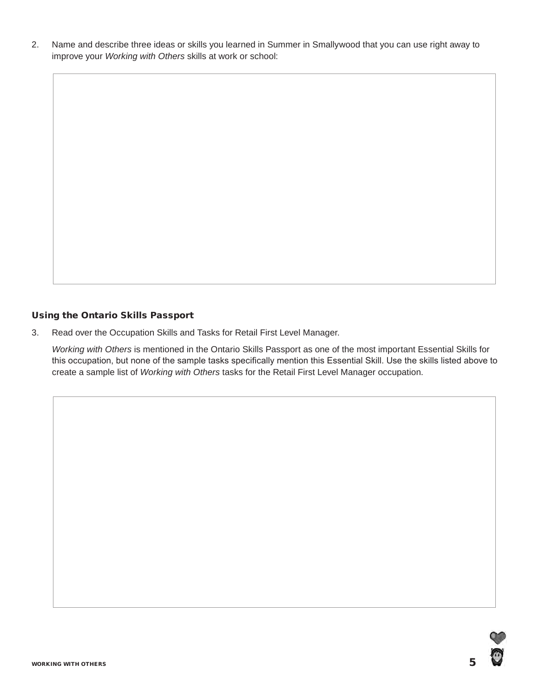2. Name and describe three ideas or skills you learned in Summer in Smallywood that you can use right away to improve your *Working with Others* skills at work or school:

#### Using the Ontario Skills Passport

3. Read over the Occupation Skills and Tasks for Retail First Level Manager.

*Working with Others* is mentioned in the Ontario Skills Passport as one of the most important Essential Skills for this occupation, but none of the sample tasks specifically mention this Essential Skill. Use the skills listed above to create a sample list of *Working with Others* tasks for the Retail First Level Manager occupation.

O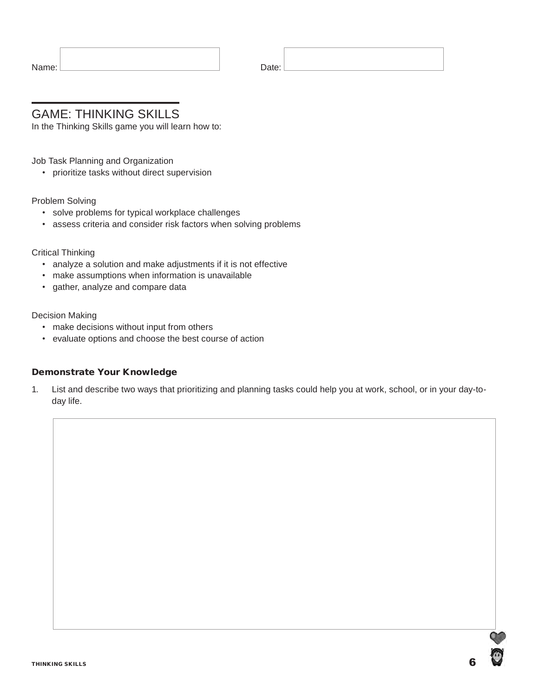| Name: | Date: |
|-------|-------|
|       |       |

### Game: Thinking Skills

In the Thinking Skills game you will learn how to:

Job Task Planning and Organization

• prioritize tasks without direct supervision

#### Problem Solving

- solve problems for typical workplace challenges
- assess criteria and consider risk factors when solving problems

#### Critical Thinking

- analyze a solution and make adjustments if it is not effective
- make assumptions when information is unavailable
- gather, analyze and compare data

#### Decision Making

- make decisions without input from others
- evaluate options and choose the best course of action

#### Demonstrate Your Knowledge

1. List and describe two ways that prioritizing and planning tasks could help you at work, school, or in your day-today life.